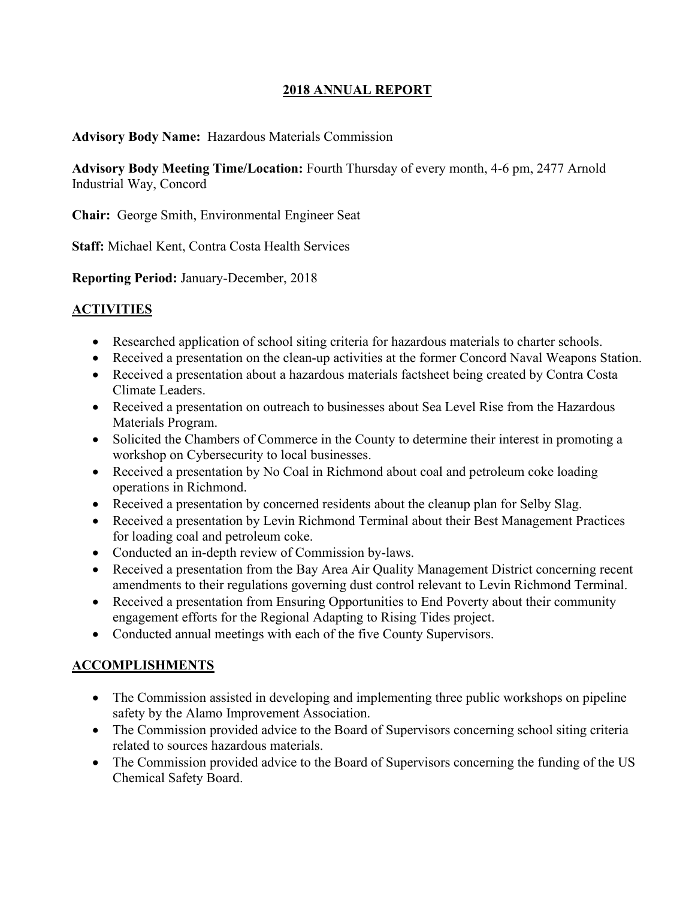### **2018 ANNUAL REPORT**

### **Advisory Body Name:** Hazardous Materials Commission

**Advisory Body Meeting Time/Location:** Fourth Thursday of every month, 4-6 pm, 2477 Arnold Industrial Way, Concord

**Chair:** George Smith, Environmental Engineer Seat

**Staff:** Michael Kent, Contra Costa Health Services

**Reporting Period:** January-December, 2018

# **ACTIVITIES**

- Researched application of school siting criteria for hazardous materials to charter schools.
- Received a presentation on the clean-up activities at the former Concord Naval Weapons Station.
- Received a presentation about a hazardous materials factsheet being created by Contra Costa Climate Leaders.
- Received a presentation on outreach to businesses about Sea Level Rise from the Hazardous Materials Program.
- Solicited the Chambers of Commerce in the County to determine their interest in promoting a workshop on Cybersecurity to local businesses.
- Received a presentation by No Coal in Richmond about coal and petroleum coke loading operations in Richmond.
- Received a presentation by concerned residents about the cleanup plan for Selby Slag.
- Received a presentation by Levin Richmond Terminal about their Best Management Practices for loading coal and petroleum coke.
- Conducted an in-depth review of Commission by-laws.
- Received a presentation from the Bay Area Air Quality Management District concerning recent amendments to their regulations governing dust control relevant to Levin Richmond Terminal.
- Received a presentation from Ensuring Opportunities to End Poverty about their community engagement efforts for the Regional Adapting to Rising Tides project.
- Conducted annual meetings with each of the five County Supervisors.

# **ACCOMPLISHMENTS**

- The Commission assisted in developing and implementing three public workshops on pipeline safety by the Alamo Improvement Association.
- The Commission provided advice to the Board of Supervisors concerning school siting criteria related to sources hazardous materials.
- The Commission provided advice to the Board of Supervisors concerning the funding of the US Chemical Safety Board.